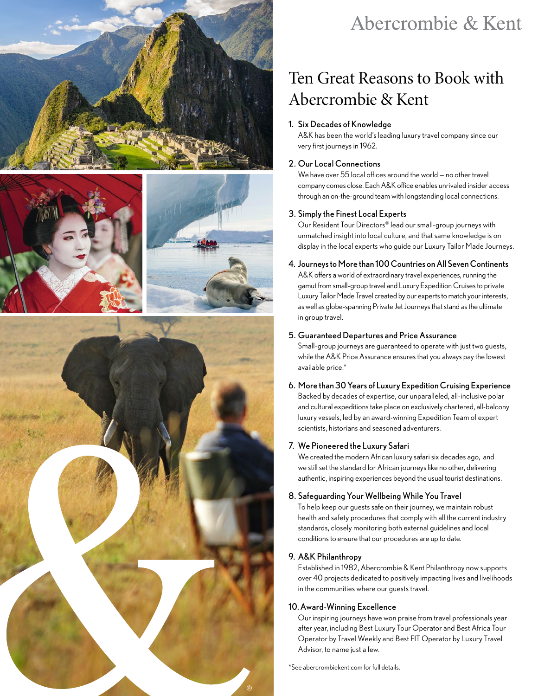







## Abercrombie & Kent

## Ten Great Reasons to Book with Abercrombie & Kent

## 1. Six Decades of Knowledge

A&K has been the world's leading luxury travel company since our very first journeys in 1962.

## 2. Our Local Connections

We have over 55 local offices around the world — no other travel company comes close. Each A&K office enables unrivaled insider access through an on-the-ground team with longstanding local connections.

## 3. Simply the Finest Local Experts

Our Resident Tour Directors® lead our small-group journeys with unmatched insight into local culture, and that same knowledge is on display in the local experts who guide our Luxury Tailor Made Journeys.

## 4. Journeys to More than 100 Countries on All Seven Continents

A&K offers a world of extraordinary travel experiences, running the gamut from small-group travel and Luxury Expedition Cruises to private Luxury Tailor Made Travel created by our experts to match your interests, as well as globe-spanning Private Jet Journeys that stand as the ultimate in group travel.

#### 5. Guaranteed Departures and Price Assurance

Small-group journeys are guaranteed to operate with just two guests, while the A&K Price Assurance ensures that you always pay the lowest available price.\*

## 6. More than 30 Years of Luxury Expedition Cruising Experience Backed by decades of expertise, our unparalleled, all-inclusive polar

and cultural expeditions take place on exclusively chartered, all-balcony luxury vessels, led by an award-winning Expedition Team of expert scientists, historians and seasoned adventurers.

## 7. We Pioneered the Luxury Safari

We created the modern African luxury safari six decades ago, and we still set the standard for African journeys like no other, delivering authentic, inspiring experiences beyond the usual tourist destinations.

## 8. Safeguarding Your Wellbeing While You Travel

To help keep our guests safe on their journey, we maintain robust health and safety procedures that comply with all the current industry standards, closely monitoring both external guidelines and local conditions to ensure that our procedures are up to date.

## 9. A&K Philanthropy

Established in 1982, Abercrombie & Kent Philanthropy now supports over 40 projects dedicated to positively impacting lives and livelihoods in the communities where our guests travel.

## 10.Award-Winning Excellence

Our inspiring journeys have won praise from travel professionals year after year, including Best Luxury Tour Operator and Best Africa Tour Operator by Travel Weekly and Best FIT Operator by Luxury Travel Advisor, to name just a few.

[\\*See abercrombiekent.com for full details.](https://www.abercrombiekent.com/legal/departures-and-prices-guaranteed)